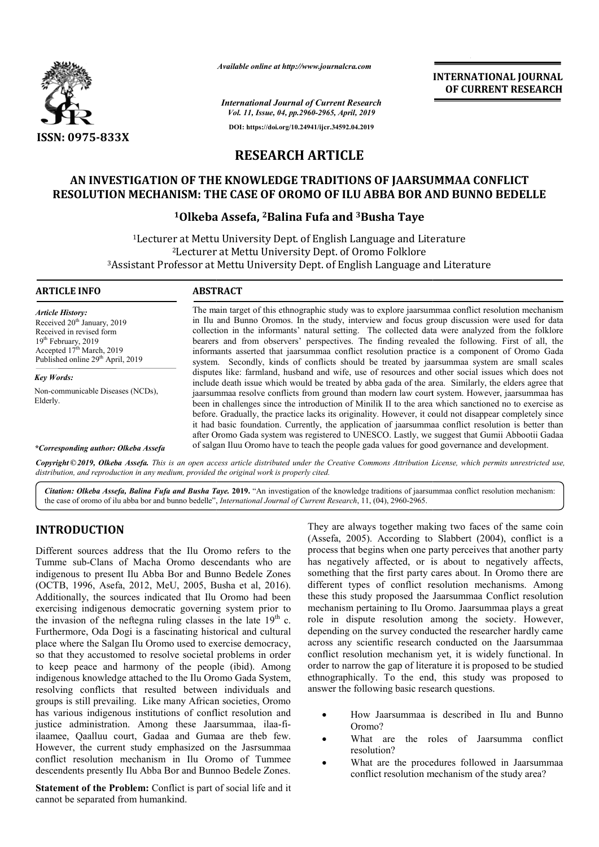

*Available online at http://www.journalcra.com*

**INTERNATIONAL JOURNAL OF CURRENT RESEARCH**

*International Journal of Current Research Vol. 11, Issue, 04, pp.2960-2965, April, 2019* **DOI: https://doi.org/10.24941/ijcr.34592.04.2019**

# **RESEARCH ARTICLE**

# **AN INVESTIGATION OF THE KNOWLEDGE TRADITIONS OF JAARSUMMAA CONFLICT RESOLUTION MECHANISM: THE CASE OF OROMO OF ILU ABBA BOR AND BUNNO THE CASE OF OROMO ABBA BOR BUNNO BEDELLE**

# **1Olkeba Assefa, Olkeba 2Balina Fufa and 3Busha Taye**

1Lecturer at Mettu University Dept. of English Language and Literature 2Lecturer at Mettu University Dept. of Oromo Folklore <sup>1</sup>Lecturer at Mettu University Dept. of English Language and Literature<br><sup>2</sup>Lecturer at Mettu University Dept. of Oromo Folklore<br>3Assistant Professor at Mettu University Dept. of English Language and Literature

**ARTICLE INFO ABSTRACT**

*Article History:* Received  $20<sup>th</sup>$  January, 2019 Received in revised form 19th February, 2019 Accepted  $17<sup>th</sup>$  March, 2019 Published online 29<sup>th</sup> April, 2019

*Key Words:* Non-communicable Diseases (NCDs), Elderly.

#### *\*Corresponding author: Olkeba Assefa*

The main target of this ethnographic study was to explore jaarsummaa conflict resolution mechanism in Ilu and Bunno Oromos. In the study, interview and focus group discussion were used for data collection in the informants' natural setting. The collected data were analyzed from the folklore bearers and from observers' perspectives. The finding revealed the following. First of all, the informants asserted that jaarsummaa conflict resolution practice is a component of Oromo Gada system. Secondly, kinds of conflicts should be treated by jaarsummaa system are small scales disputes like: farmland, husband and wife, use of resources and other social issues which does not include death issue which would be treated by abba gada of the area. Similarly, the elders jaarsummaa resolve conflicts from ground than modern law court system. However, jaarsummaa has been in challenges since the introduction of Minilik II to the area which sanctioned no to exercise as before. Gradually, the practice lacks its originality. However, it could not disappear completely since it had basic foundation. Currently, the application of jaarsummaa conflict resolution is better than after Oromo Gada system was registered to UNESCO. Lastly, we suggest that Gumii Abbootii Gadaa of salgan Iluu Oromo have to teach the people gada values for good governance and development. The main target of this ethnographic study was to explore jaarsummaa conflict resolution mechanism<br>in Ilu and Bunno Oromos. In the study, interview and focus group discussion were used for data<br>collection in the informants jaarsummaa resolve conflicts from ground than modern law court system. However, jaarsummaa has been in challenges since the introduction of Minilik II to the area which sanctioned no to exercise as before. Gradually, the p

Copyright © 2019, Olkeba Assefa. This is an open access article distributed under the Creative Commons Attribution License, which permits unrestricted use, *distribution, and reproduction in any medium, provided the original work is properly cited.*

Citation: Olkeba Assefa, Balina Fufa and Busha Taye. 2019. "An investigation of the knowledge traditions of jaarsummaa conflict resolution mechanism: the case of oromo of ilu abba bor and bunno bedelle", , *International Journal of Current Research*, 11, (04), 2960-2965.

# **INTRODUCTION**

Different sources address that the Ilu Oromo refers to the Tumme sub-Clans of Macha Oromo descendants who are indigenous to present Ilu Abba Bor and Bunno Bedele Zones (OCTB, 1996, Asefa, 2012, MeU, 2005, Busha et al, 2016). Additionally, the sources indicated that Ilu Oromo had been exercising indigenous democratic governing system prior to the invasion of the neftegna ruling classes in the late  $19<sup>th</sup>$  c. Furthermore, Oda Dogi is a fascinating historical and cultural place where the Salgan Ilu Oromo used to exercise democracy, so that they accustomed to resolve societal problems in order to keep peace and harmony of the people (ibid). Among indigenous knowledge attached to the Ilu Oromo Gada System, resolving conflicts that resulted between individuals and groups is still prevailing. Like many African societies, Oromo has various indigenous institutions of conflict resolution and has various indigenous institutions of conflict resolution and<br>justice administration. Among these Jaarsummaa, ilaa-fiilaamee, Qaalluu court, Gadaa and Gumaa are theb few. However, the current study emphasized on the Jasrsummaa conflict resolution mechanism in Ilu Oromo of Tummee descendents presently Ilu Abba Bor and Bunnoo Bedele Zones.

**Statement of the Problem:** Conflict is part of social life and it cannot be separated from humankind.

They are always together making two faces of the same coin (Assefa, 2005). According to Slabbert (2004), conflict is a process that begins when one party perceives that another party has negatively affected, or is about to negatively affects, something that the first party cares about. In Oromo there are different types of conflict resolution mechanisms. Among these this study proposed the Jaarsummaa Conflict resolution mechanism pertaining to Ilu Oromo. Jaarsummaa plays a great role in dispute resolution among the society. However, depending on the survey conducted the researcher hardly came across any scientific research conducted on the Jaarsummaa conflict resolution mechanism yet, it is widely functional. In order to narrow the gap of literature it is proposed to be studied ethnographically. To the end, this study was proposed to answer the following basic research questions. is together making two faces of the same coin<br>According to Slabbert (2004), conflict is a<br>gins when one party perceives that another party<br>affected, or is about to negatively affects,<br>the first party cares about. In Oromo **EXERCTIONAL FORTER (SCIET)**<br> **COVERENT RESEARCH**<br> **COVERENT RESEARCH**<br> **COVERENT RESEARCH**<br> **COVERENT RESEARCH**<br> **COVERENT RESEARCH**<br> **COVERENT RESEARCH**<br> **COVERENT RESEARCH**<br> **COVERENT RESEARCH**<br> **COVERENT RESEARCH**<br> **CO** 

- How Jaarsummaa is described in Ilu and Bunno Oromo?
- What are the roles of Jaarsumma conflict resolution?
- What are the procedures followed in Jaarsummaa conflict resolution mechanism of the study area?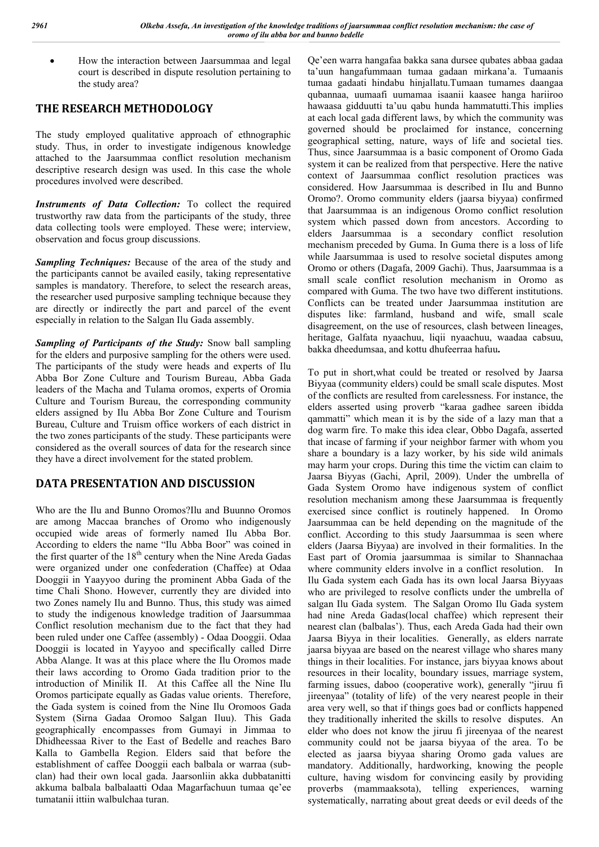How the interaction between Jaarsummaa and legal court is described in dispute resolution pertaining to the study area?

# **THE RESEARCH METHODOLOGY**

The study employed qualitative approach of ethnographic study. Thus, in order to investigate indigenous knowledge attached to the Jaarsummaa conflict resolution mechanism descriptive research design was used. In this case the whole procedures involved were described.

*Instruments of Data Collection:* To collect the required trustworthy raw data from the participants of the study, three data collecting tools were employed. These were; interview, observation and focus group discussions.

*Sampling Techniques:* Because of the area of the study and the participants cannot be availed easily, taking representative samples is mandatory. Therefore, to select the research areas, the researcher used purposive sampling technique because they are directly or indirectly the part and parcel of the event especially in relation to the Salgan Ilu Gada assembly.

*Sampling of Participants of the Study:* Snow ball sampling for the elders and purposive sampling for the others were used. The participants of the study were heads and experts of Ilu Abba Bor Zone Culture and Tourism Bureau, Abba Gada leaders of the Macha and Tulama oromos, experts of Oromia Culture and Tourism Bureau, the corresponding community elders assigned by Ilu Abba Bor Zone Culture and Tourism Bureau, Culture and Truism office workers of each district in the two zones participants of the study. These participants were considered as the overall sources of data for the research since they have a direct involvement for the stated problem.

# **DATA PRESENTATION AND DISCUSSION**

Who are the Ilu and Bunno Oromos?Ilu and Buunno Oromos are among Maccaa branches of Oromo who indigenously occupied wide areas of formerly named Ilu Abba Bor. According to elders the name "Ilu Abba Boor" was coined in the first quarter of the  $18<sup>th</sup>$  century when the Nine Areda Gadas were organized under one confederation (Chaffee) at Odaa Dooggii in Yaayyoo during the prominent Abba Gada of the time Chali Shono. However, currently they are divided into two Zones namely Ilu and Bunno. Thus, this study was aimed to study the indigenous knowledge tradition of Jaarsummaa Conflict resolution mechanism due to the fact that they had been ruled under one Caffee (assembly) - Odaa Dooggii. Odaa Dooggii is located in Yayyoo and specifically called Dirre Abba Alange. It was at this place where the Ilu Oromos made their laws according to Oromo Gada tradition prior to the introduction of Minilik II. At this Caffee all the Nine Ilu Oromos participate equally as Gadas value orients. Therefore, the Gada system is coined from the Nine Ilu Oromoos Gada System (Sirna Gadaa Oromoo Salgan Iluu). This Gada geographically encompasses from Gumayi in Jimmaa to Dhidheessaa River to the East of Bedelle and reaches Baro Kalla to Gambella Region. Elders said that before the establishment of caffee Dooggii each balbala or warraa (subclan) had their own local gada. Jaarsonliin akka dubbatanitti akkuma balbala balbalaatti Odaa Magarfachuun tumaa qe'ee tumatanii ittiin walbulchaa turan.

Qe'een warra hangafaa bakka sana dursee qubates abbaa gadaa ta'uun hangafummaan tumaa gadaan mirkana'a. Tumaanis tumaa gadaati hindabu hinjallatu.Tumaan tumames daangaa qubannaa, uumaafi uumamaa isaanii kaasee hanga hariiroo hawaasa gidduutti ta'uu qabu hunda hammatutti.This implies at each local gada different laws, by which the community was governed should be proclaimed for instance, concerning geographical setting, nature, ways of life and societal ties. Thus, since Jaarsummaa is a basic component of Oromo Gada system it can be realized from that perspective. Here the native context of Jaarsummaa conflict resolution practices was considered. How Jaarsummaa is described in Ilu and Bunno Oromo?. Oromo community elders (jaarsa biyyaa) confirmed that Jaarsummaa is an indigenous Oromo conflict resolution system which passed down from ancestors. According to elders Jaarsummaa is a secondary conflict resolution mechanism preceded by Guma. In Guma there is a loss of life while Jaarsummaa is used to resolve societal disputes among Oromo or others (Dagafa, 2009 Gachi). Thus, Jaarsummaa is a small scale conflict resolution mechanism in Oromo as compared with Guma. The two have two different institutions. Conflicts can be treated under Jaarsummaa institution are disputes like: farmland, husband and wife, small scale disagreement, on the use of resources, clash between lineages, heritage, Galfata nyaachuu, liqii nyaachuu, waadaa cabsuu, bakka dheedumsaa, and kottu dhufeerraa hafuu**.**

To put in short,what could be treated or resolved by Jaarsa Biyyaa (community elders) could be small scale disputes. Most of the conflicts are resulted from carelessness. For instance, the elders asserted using proverb "karaa gadhee sareen ibidda qammatti" which mean it is by the side of a lazy man that a dog warm fire. To make this idea clear, Obbo Dagafa, asserted that incase of farming if your neighbor farmer with whom you share a boundary is a lazy worker, by his side wild animals may harm your crops. During this time the victim can claim to Jaarsa Biyyas (Gachi, April, 2009). Under the umbrella of Gada System Oromo have indigenous system of conflict resolution mechanism among these Jaarsummaa is frequently exercised since conflict is routinely happened. In Oromo Jaarsummaa can be held depending on the magnitude of the conflict. According to this study Jaarsummaa is seen where elders (Jaarsa Biyyaa) are involved in their formalities. In the East part of Oromia jaarsummaa is similar to Shannachaa where community elders involve in a conflict resolution. In Ilu Gada system each Gada has its own local Jaarsa Biyyaas who are privileged to resolve conflicts under the umbrella of salgan Ilu Gada system. The Salgan Oromo Ilu Gada system had nine Areda Gadas(local chaffee) which represent their nearest clan (balbalas'). Thus, each Areda Gada had their own Jaarsa Biyya in their localities. Generally, as elders narrate jaarsa biyyaa are based on the nearest village who shares many things in their localities. For instance, jars biyyaa knows about resources in their locality, boundary issues, marriage system, farming issues, daboo (cooperative work), generally "jiruu fi jireenyaa" (totality of life) of the very nearest people in their area very well, so that if things goes bad or conflicts happened they traditionally inherited the skills to resolve disputes. An elder who does not know the jiruu fi jireenyaa of the nearest community could not be jaarsa biyyaa of the area. To be elected as jaarsa biyyaa sharing Oromo gada values are mandatory. Additionally, hardworking, knowing the people culture, having wisdom for convincing easily by providing proverbs (mammaaksota), telling experiences, warning systematically, narrating about great deeds or evil deeds of the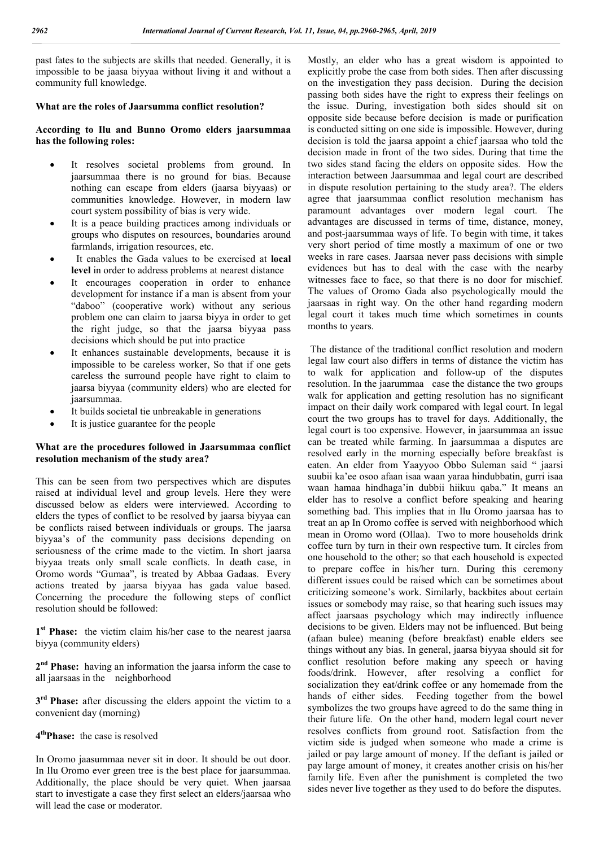past fates to the subjects are skills that needed. Generally, it is impossible to be jaasa biyyaa without living it and without a community full knowledge.

#### **What are the roles of Jaarsumma conflict resolution?**

## **According to Ilu and Bunno Oromo elders jaarsummaa has the following roles:**

- It resolves societal problems from ground. In jaarsummaa there is no ground for bias. Because nothing can escape from elders (jaarsa biyyaas) or communities knowledge. However, in modern law court system possibility of bias is very wide.
- It is a peace building practices among individuals or groups who disputes on resources, boundaries around farmlands, irrigation resources, etc.
- It enables the Gada values to be exercised at **local level** in order to address problems at nearest distance
- It encourages cooperation in order to enhance development for instance if a man is absent from your "daboo" (cooperative work) without any serious problem one can claim to jaarsa biyya in order to get the right judge, so that the jaarsa biyyaa pass decisions which should be put into practice
- It enhances sustainable developments, because it is impossible to be careless worker, So that if one gets careless the surround people have right to claim to jaarsa biyyaa (community elders) who are elected for jaarsummaa.
- It builds societal tie unbreakable in generations
- It is justice guarantee for the people

## **What are the procedures followed in Jaarsummaa conflict resolution mechanism of the study area?**

This can be seen from two perspectives which are disputes raised at individual level and group levels. Here they were discussed below as elders were interviewed. According to elders the types of conflict to be resolved by jaarsa biyyaa can be conflicts raised between individuals or groups. The jaarsa biyyaa's of the community pass decisions depending on seriousness of the crime made to the victim. In short jaarsa biyyaa treats only small scale conflicts. In death case, in Oromo words "Gumaa", is treated by Abbaa Gadaas. Every actions treated by jaarsa biyyaa has gada value based. Concerning the procedure the following steps of conflict resolution should be followed:

**1st Phase:** the victim claim his/her case to the nearest jaarsa biyya (community elders)

**2nd Phase:** having an information the jaarsa inform the case to all jaarsaas in the neighborhood

**3rd Phase:** after discussing the elders appoint the victim to a convenient day (morning)

#### **4thPhase:** the case is resolved

In Oromo jaasummaa never sit in door. It should be out door. In Ilu Oromo ever green tree is the best place for jaarsummaa. Additionally, the place should be very quiet. When jaarsaa start to investigate a case they first select an elders/jaarsaa who will lead the case or moderator.

Mostly, an elder who has a great wisdom is appointed to explicitly probe the case from both sides. Then after discussing on the investigation they pass decision. During the decision passing both sides have the right to express their feelings on the issue. During, investigation both sides should sit on opposite side because before decision is made or purification is conducted sitting on one side is impossible. However, during decision is told the jaarsa appoint a chief jaarsaa who told the decision made in front of the two sides. During that time the two sides stand facing the elders on opposite sides. How the interaction between Jaarsummaa and legal court are described in dispute resolution pertaining to the study area?. The elders agree that jaarsummaa conflict resolution mechanism has paramount advantages over modern legal court. The advantages are discussed in terms of time, distance, money, and post-jaarsummaa ways of life. To begin with time, it takes very short period of time mostly a maximum of one or two weeks in rare cases. Jaarsaa never pass decisions with simple evidences but has to deal with the case with the nearby witnesses face to face, so that there is no door for mischief. The values of Oromo Gada also psychologically mould the jaarsaas in right way. On the other hand regarding modern legal court it takes much time which sometimes in counts months to years.

The distance of the traditional conflict resolution and modern legal law court also differs in terms of distance the victim has to walk for application and follow-up of the disputes resolution. In the jaarummaa case the distance the two groups walk for application and getting resolution has no significant impact on their daily work compared with legal court. In legal court the two groups has to travel for days. Additionally, the legal court is too expensive. However, in jaarsummaa an issue can be treated while farming. In jaarsummaa a disputes are resolved early in the morning especially before breakfast is eaten. An elder from Yaayyoo Obbo Suleman said " jaarsi suubii ka'ee osoo afaan isaa waan yaraa hindubbatin, gurri isaa waan hamaa hindhaga'in dubbii hiikuu qaba." It means an elder has to resolve a conflict before speaking and hearing something bad. This implies that in Ilu Oromo jaarsaa has to treat an ap In Oromo coffee is served with neighborhood which mean in Oromo word (Ollaa). Two to more households drink coffee turn by turn in their own respective turn. It circles from one household to the other; so that each household is expected to prepare coffee in his/her turn. During this ceremony different issues could be raised which can be sometimes about criticizing someone's work. Similarly, backbites about certain issues or somebody may raise, so that hearing such issues may affect jaarsaas psychology which may indirectly influence decisions to be given. Elders may not be influenced. But being (afaan bulee) meaning (before breakfast) enable elders see things without any bias. In general, jaarsa biyyaa should sit for conflict resolution before making any speech or having foods/drink. However, after resolving a conflict for socialization they eat/drink coffee or any homemade from the hands of either sides. Feeding together from the bowel symbolizes the two groups have agreed to do the same thing in their future life. On the other hand, modern legal court never resolves conflicts from ground root. Satisfaction from the victim side is judged when someone who made a crime is jailed or pay large amount of money. If the defiant is jailed or pay large amount of money, it creates another crisis on his/her family life. Even after the punishment is completed the two sides never live together as they used to do before the disputes.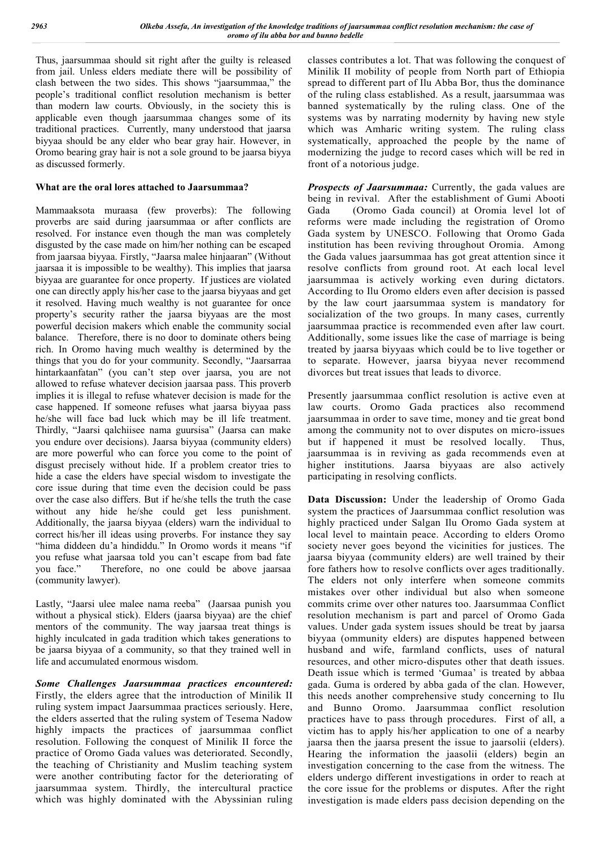Thus, jaarsummaa should sit right after the guilty is released from jail. Unless elders mediate there will be possibility of clash between the two sides. This shows "jaarsummaa," the people's traditional conflict resolution mechanism is better than modern law courts. Obviously, in the society this is applicable even though jaarsummaa changes some of its traditional practices. Currently, many understood that jaarsa biyyaa should be any elder who bear gray hair. However, in Oromo bearing gray hair is not a sole ground to be jaarsa biyya as discussed formerly.

## **What are the oral lores attached to Jaarsummaa?**

Mammaaksota muraasa (few proverbs): The following proverbs are said during jaarsummaa or after conflicts are resolved. For instance even though the man was completely disgusted by the case made on him/her nothing can be escaped from jaarsaa biyyaa. Firstly, "Jaarsa malee hinjaaran" (Without jaarsaa it is impossible to be wealthy). This implies that jaarsa biyyaa are guarantee for once property. If justices are violated one can directly apply his/her case to the jaarsa biyyaas and get it resolved. Having much wealthy is not guarantee for once property's security rather the jaarsa biyyaas are the most powerful decision makers which enable the community social balance. Therefore, there is no door to dominate others being rich. In Oromo having much wealthy is determined by the things that you do for your community. Secondly, "Jaarsarraa hintarkaanfatan" (you can't step over jaarsa, you are not allowed to refuse whatever decision jaarsaa pass. This proverb implies it is illegal to refuse whatever decision is made for the case happened. If someone refuses what jaarsa biyyaa pass he/she will face bad luck which may be ill life treatment. Thirdly, "Jaarsi qalchiisee nama guursisa" (Jaarsa can make you endure over decisions). Jaarsa biyyaa (community elders) are more powerful who can force you come to the point of disgust precisely without hide. If a problem creator tries to hide a case the elders have special wisdom to investigate the core issue during that time even the decision could be pass over the case also differs. But if he/she tells the truth the case without any hide he/she could get less punishment. Additionally, the jaarsa biyyaa (elders) warn the individual to correct his/her ill ideas using proverbs. For instance they say "hima diddeen du'a hindiddu." In Oromo words it means "if you refuse what jaarsaa told you can't escape from bad fate you face." Therefore, no one could be above jaarsaa (community lawyer).

Lastly, "Jaarsi ulee malee nama reeba" (Jaarsaa punish you without a physical stick). Elders (jaarsa biyyaa) are the chief mentors of the community. The way jaarsaa treat things is highly inculcated in gada tradition which takes generations to be jaarsa biyyaa of a community, so that they trained well in life and accumulated enormous wisdom.

*Some Challenges Jaarsummaa practices encountered:*  Firstly, the elders agree that the introduction of Minilik II ruling system impact Jaarsummaa practices seriously. Here, the elders asserted that the ruling system of Tesema Nadow highly impacts the practices of jaarsummaa conflict resolution. Following the conquest of Minilik II force the practice of Oromo Gada values was deteriorated. Secondly, the teaching of Christianity and Muslim teaching system were another contributing factor for the deteriorating of jaarsummaa system. Thirdly, the intercultural practice which was highly dominated with the Abyssinian ruling classes contributes a lot. That was following the conquest of Minilik II mobility of people from North part of Ethiopia spread to different part of Ilu Abba Bor, thus the dominance of the ruling class established. As a result, jaarsummaa was banned systematically by the ruling class. One of the systems was by narrating modernity by having new style which was Amharic writing system. The ruling class systematically, approached the people by the name of modernizing the judge to record cases which will be red in front of a notorious judge.

*Prospects of Jaarsummaa:* Currently, the gada values are being in revival. After the establishment of Gumi Abooti Gada (Oromo Gada council) at Oromia level lot of reforms were made including the registration of Oromo Gada system by UNESCO. Following that Oromo Gada institution has been reviving throughout Oromia. Among the Gada values jaarsummaa has got great attention since it resolve conflicts from ground root. At each local level jaarsummaa is actively working even during dictators. According to Ilu Oromo elders even after decision is passed by the law court jaarsummaa system is mandatory for socialization of the two groups. In many cases, currently jaarsummaa practice is recommended even after law court. Additionally, some issues like the case of marriage is being treated by jaarsa biyyaas which could be to live together or to separate. However, jaarsa biyyaa never recommend divorces but treat issues that leads to divorce.

Presently jaarsummaa conflict resolution is active even at law courts. Oromo Gada practices also recommend jaarsummaa in order to save time, money and tie great bond among the community not to over disputes on micro-issues but if happened it must be resolved locally. Thus, jaarsummaa is in reviving as gada recommends even at higher institutions. Jaarsa biyyaas are also actively participating in resolving conflicts.

**Data Discussion:** Under the leadership of Oromo Gada system the practices of Jaarsummaa conflict resolution was highly practiced under Salgan Ilu Oromo Gada system at local level to maintain peace. According to elders Oromo society never goes beyond the vicinities for justices. The jaarsa biyyaa (community elders) are well trained by their fore fathers how to resolve conflicts over ages traditionally. The elders not only interfere when someone commits mistakes over other individual but also when someone commits crime over other natures too. Jaarsummaa Conflict resolution mechanism is part and parcel of Oromo Gada values. Under gada system issues should be treat by jaarsa biyyaa (ommunity elders) are disputes happened between husband and wife, farmland conflicts, uses of natural resources, and other micro-disputes other that death issues. Death issue which is termed 'Gumaa' is treated by abbaa gada. Guma is ordered by abba gada of the clan. However, this needs another comprehensive study concerning to Ilu and Bunno Oromo. Jaarsummaa conflict resolution practices have to pass through procedures. First of all, a victim has to apply his/her application to one of a nearby jaarsa then the jaarsa present the issue to jaarsolii (elders). Hearing the information the jaasolii (elders) begin an investigation concerning to the case from the witness. The elders undergo different investigations in order to reach at the core issue for the problems or disputes. After the right investigation is made elders pass decision depending on the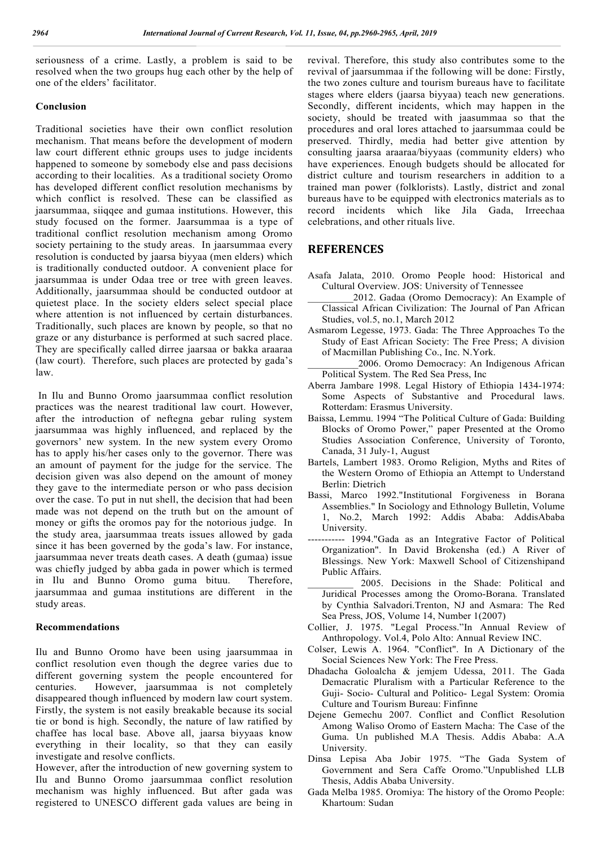seriousness of a crime. Lastly, a problem is said to be resolved when the two groups hug each other by the help of one of the elders' facilitator.

### **Conclusion**

Traditional societies have their own conflict resolution mechanism. That means before the development of modern law court different ethnic groups uses to judge incidents happened to someone by somebody else and pass decisions according to their localities. As a traditional society Oromo has developed different conflict resolution mechanisms by which conflict is resolved. These can be classified as jaarsummaa, siiqqee and gumaa institutions. However, this study focused on the former. Jaarsummaa is a type of traditional conflict resolution mechanism among Oromo society pertaining to the study areas. In jaarsummaa every resolution is conducted by jaarsa biyyaa (men elders) which is traditionally conducted outdoor. A convenient place for jaarsummaa is under Odaa tree or tree with green leaves. Additionally, jaarsummaa should be conducted outdoor at quietest place. In the society elders select special place where attention is not influenced by certain disturbances. Traditionally, such places are known by people, so that no graze or any disturbance is performed at such sacred place. They are specifically called dirree jaarsaa or bakka araaraa (law court). Therefore, such places are protected by gada's law.

In Ilu and Bunno Oromo jaarsummaa conflict resolution practices was the nearest traditional law court. However, after the introduction of neftegna gebar ruling system jaarsummaa was highly influenced, and replaced by the governors' new system. In the new system every Oromo has to apply his/her cases only to the governor. There was an amount of payment for the judge for the service. The decision given was also depend on the amount of money they gave to the intermediate person or who pass decision over the case. To put in nut shell, the decision that had been made was not depend on the truth but on the amount of money or gifts the oromos pay for the notorious judge. In the study area, jaarsummaa treats issues allowed by gada since it has been governed by the goda's law. For instance, jaarsummaa never treats death cases. A death (gumaa) issue was chiefly judged by abba gada in power which is termed in Ilu and Bunno Oromo guma bituu. Therefore, jaarsummaa and gumaa institutions are different in the study areas.

## **Recommendations**

Ilu and Bunno Oromo have been using jaarsummaa in conflict resolution even though the degree varies due to different governing system the people encountered for centuries. However, jaarsummaa is not completely disappeared though influenced by modern law court system. Firstly, the system is not easily breakable because its social tie or bond is high. Secondly, the nature of law ratified by chaffee has local base. Above all, jaarsa biyyaas know everything in their locality, so that they can easily investigate and resolve conflicts.

However, after the introduction of new governing system to Ilu and Bunno Oromo jaarsummaa conflict resolution mechanism was highly influenced. But after gada was registered to UNESCO different gada values are being in

revival. Therefore, this study also contributes some to the revival of jaarsummaa if the following will be done: Firstly, the two zones culture and tourism bureaus have to facilitate stages where elders (jaarsa biyyaa) teach new generations. Secondly, different incidents, which may happen in the society, should be treated with jaasummaa so that the procedures and oral lores attached to jaarsummaa could be preserved. Thirdly, media had better give attention by consulting jaarsa araaraa/biyyaas (community elders) who have experiences. Enough budgets should be allocated for district culture and tourism researchers in addition to a trained man power (folklorists). Lastly, district and zonal bureaus have to be equipped with electronics materials as to record incidents which like Jila Gada, Irreechaa celebrations, and other rituals live.

## **REFERENCES**

- Asafa Jalata, 2010. Oromo People hood: Historical and Cultural Overview. JOS: University of Tennessee
- 2012. Gadaa (Oromo Democracy): An Example of Classical African Civilization: The Journal of Pan African Studies, vol.5, no.1, March 2012
- Asmarom Legesse, 1973. Gada: The Three Approaches To the Study of East African Society: The Free Press; A division of Macmillan Publishing Co., Inc. N.York.
- \_\_\_\_\_\_\_\_\_\_2006. Oromo Democracy: An Indigenous African Political System. The Red Sea Press, Inc
- Aberra Jambare 1998. Legal History of Ethiopia 1434-1974: Some Aspects of Substantive and Procedural laws. Rotterdam: Erasmus University.
- Baissa, Lemmu. 1994 "The Political Culture of Gada: Building Blocks of Oromo Power," paper Presented at the Oromo Studies Association Conference, University of Toronto, Canada, 31 July-1, August
- Bartels, Lambert 1983. Oromo Religion, Myths and Rites of the Western Oromo of Ethiopia an Attempt to Understand Berlin: Dietrich
- Bassi, Marco 1992."Institutional Forgiveness in Borana Assemblies." In Sociology and Ethnology Bulletin, Volume 1, No.2, March 1992: Addis Ababa: AddisAbaba University.
- ----------- 1994."Gada as an Integrative Factor of Political Organization". In David Brokensha (ed.) A River of Blessings. New York: Maxwell School of Citizenshipand Public Affairs.
- \_\_\_\_\_\_\_\_\_ 2005. Decisions in the Shade: Political and Juridical Processes among the Oromo-Borana. Translated by Cynthia Salvadori.Trenton, NJ and Asmara: The Red Sea Press, JOS, Volume 14, Number 1(2007)
- Collier, J. 1975. "Legal Process."In Annual Review of Anthropology. Vol.4, Polo Alto: Annual Review INC.
- Colser, Lewis A. 1964. "Conflict". In A Dictionary of the Social Sciences New York: The Free Press.
- Dhadacha Goloalcha & jemjem Udessa, 2011. The Gada Demacratic Pluralism with a Particular Reference to the Guji- Socio- Cultural and Politico- Legal System: Oromia Culture and Tourism Bureau: Finfinne
- Dejene Gemechu 2007. Conflict and Conflict Resolution Among Waliso Oromo of Eastern Macha: The Case of the Guma. Un published M.A Thesis. Addis Ababa: A.A University.
- Dinsa Lepisa Aba Jobir 1975. "The Gada System of Government and Sera Caffe Oromo."Unpublished LLB Thesis, Addis Ababa University.
- Gada Melba 1985. Oromiya: The history of the Oromo People: Khartoum: Sudan